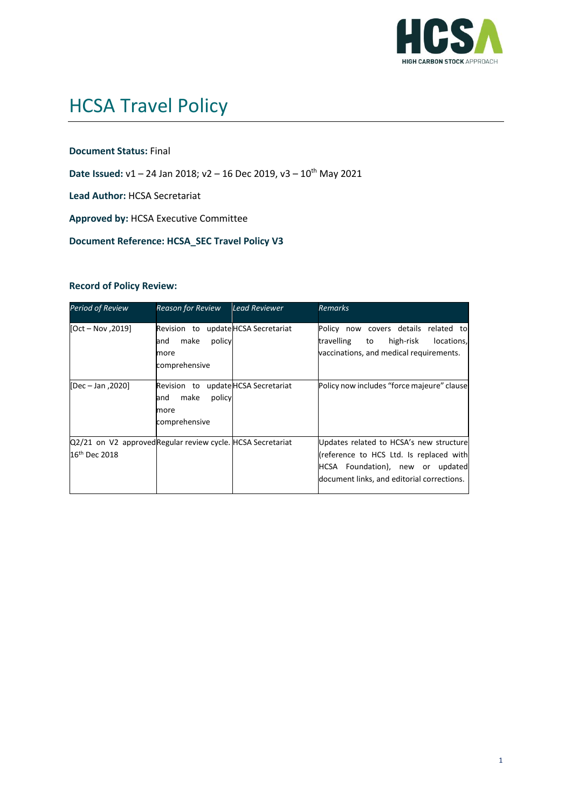

# HCSA Travel Policy

#### **Document Status:** Final

Date Issued: v1 – 24 Jan 2018; v2 – 16 Dec 2019, v3 – 10<sup>th</sup> May 2021

**Lead Author:** HCSA Secretariat

**Approved by:** HCSA Executive Committee

**Document Reference: HCSA\_SEC Travel Policy V3**

#### **Record of Policy Review:**

| <b>Period of Review</b>                                                                  | <b>Reason for Review</b>                                                              | Lead Reviewer           | <b>Remarks</b>                                                                                                                                                       |
|------------------------------------------------------------------------------------------|---------------------------------------------------------------------------------------|-------------------------|----------------------------------------------------------------------------------------------------------------------------------------------------------------------|
| $[Oct - Nov, 2019]$                                                                      | Revision to update HCSA Secretariat<br>policy<br>make<br>and<br>more<br>comprehensive |                         | Policy now covers details related to<br>high-risk<br>travelling<br>locations,<br>to<br>vaccinations, and medical requirements.                                       |
| [Dec - Jan, 2020]                                                                        | Revision to<br>make<br>policy<br>and<br>more<br>comprehensive                         | update HCSA Secretariat | Policy now includes "force majeure" clause                                                                                                                           |
| Q2/21 on V2 approved Regular review cycle. HCSA Secretariat<br>16 <sup>th</sup> Dec 2018 |                                                                                       |                         | Updates related to HCSA's new structure<br>(reference to HCS Ltd. Is replaced with<br>HCSA Foundation), new or updated<br>document links, and editorial corrections. |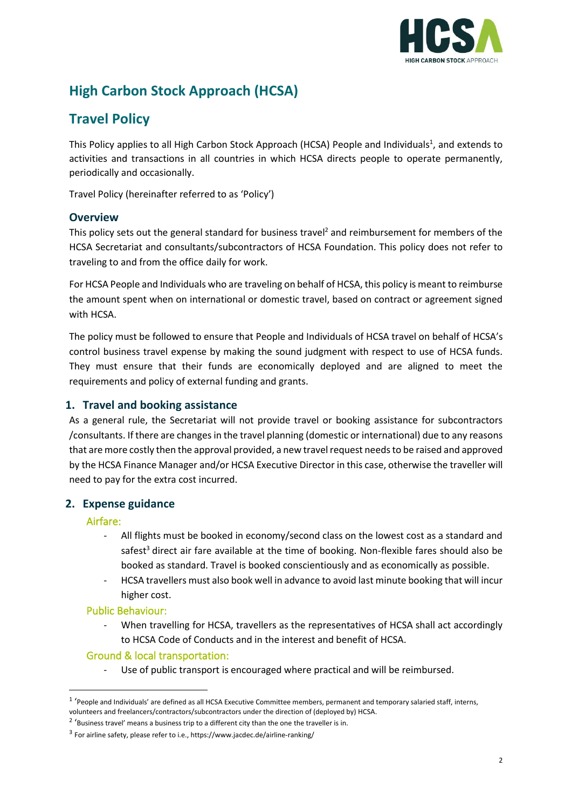

# **High Carbon Stock Approach (HCSA)**

# **Travel Policy**

This Policy applies to all High Carbon Stock Approach (HCSA) People and Individuals<sup>1</sup>, and extends to activities and transactions in all countries in which HCSA directs people to operate permanently, periodically and occasionally.

Travel Policy (hereinafter referred to as 'Policy')

# **Overview**

This policy sets out the general standard for business travel<sup>2</sup> and reimbursement for members of the HCSA Secretariat and consultants/subcontractors of HCSA Foundation. This policy does not refer to traveling to and from the office daily for work.

For HCSA People and Individuals who are traveling on behalf of HCSA, this policy is meant to reimburse the amount spent when on international or domestic travel, based on contract or agreement signed with HCSA.

The policy must be followed to ensure that People and Individuals of HCSA travel on behalf of HCSA's control business travel expense by making the sound judgment with respect to use of HCSA funds. They must ensure that their funds are economically deployed and are aligned to meet the requirements and policy of external funding and grants.

# **1. Travel and booking assistance**

As a general rule, the Secretariat will not provide travel or booking assistance for subcontractors /consultants. If there are changes in the travel planning (domestic or international) due to any reasons that are more costly then the approval provided, a new travel request needs to be raised and approved by the HCSA Finance Manager and/or HCSA Executive Director in this case, otherwise the traveller will need to pay for the extra cost incurred.

# **2. Expense guidance**

# Airfare:

- All flights must be booked in economy/second class on the lowest cost as a standard and safest<sup>3</sup> direct air fare available at the time of booking. Non-flexible fares should also be booked as standard. Travel is booked conscientiously and as economically as possible.
- HCSA travellers must also book well in advance to avoid last minute booking that will incur higher cost.

# Public Behaviour:

When travelling for HCSA, travellers as the representatives of HCSA shall act accordingly to HCSA Code of Conducts and in the interest and benefit of HCSA.

# Ground & local transportation:

Use of public transport is encouraged where practical and will be reimbursed.

<sup>&</sup>lt;sup>1</sup> 'People and Individuals' are defined as all HCSA Executive Committee members, permanent and temporary salaried staff, interns, volunteers and freelancers/contractors/subcontractors under the direction of (deployed by) HCSA.

 $2<sup>2</sup>$  'Business travel' means a business trip to a different city than the one the traveller is in.

<sup>&</sup>lt;sup>3</sup> For airline safety, please refer to i.e., https://www.jacdec.de/airline-ranking/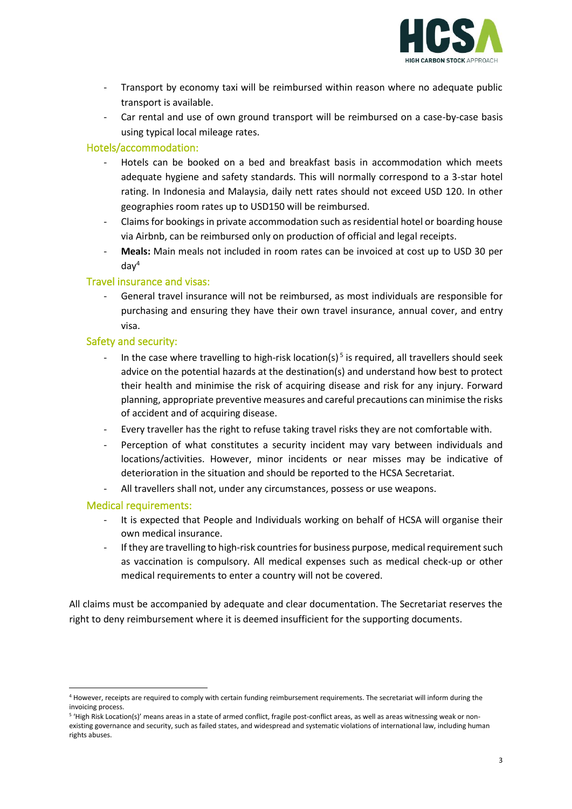

- Transport by economy taxi will be reimbursed within reason where no adequate public transport is available.
- Car rental and use of own ground transport will be reimbursed on a case-by-case basis using typical local mileage rates.

# Hotels/accommodation:

- Hotels can be booked on a bed and breakfast basis in accommodation which meets adequate hygiene and safety standards. This will normally correspond to a 3-star hotel rating. In Indonesia and Malaysia, daily nett rates should not exceed USD 120. In other geographies room rates up to USD150 will be reimbursed.
- Claims for bookings in private accommodation such as residential hotel or boarding house via Airbnb, can be reimbursed only on production of official and legal receipts.
- **Meals:** Main meals not included in room rates can be invoiced at cost up to USD 30 per  $d$ ay<sup>4</sup>

#### Travel insurance and visas:

General travel insurance will not be reimbursed, as most individuals are responsible for purchasing and ensuring they have their own travel insurance, annual cover, and entry visa.

#### Safety and security:

- In the case where travelling to high-risk location(s)<sup>5</sup> is required, all travellers should seek advice on the potential hazards at the destination(s) and understand how best to protect their health and minimise the risk of acquiring disease and risk for any injury. Forward planning, appropriate preventive measures and careful precautions can minimise the risks of accident and of acquiring disease.
- Every traveller has the right to refuse taking travel risks they are not comfortable with.
- Perception of what constitutes a security incident may vary between individuals and locations/activities. However, minor incidents or near misses may be indicative of deterioration in the situation and should be reported to the HCSA Secretariat.
- All travellers shall not, under any circumstances, possess or use weapons.

#### Medical requirements:

- It is expected that People and Individuals working on behalf of HCSA will organise their own medical insurance.
- If they are travelling to high-risk countries for business purpose, medical requirement such as vaccination is compulsory. All medical expenses such as medical check-up or other medical requirements to enter a country will not be covered.

All claims must be accompanied by adequate and clear documentation. The Secretariat reserves the right to deny reimbursement where it is deemed insufficient for the supporting documents.

<sup>4</sup> However, receipts are required to comply with certain funding reimbursement requirements. The secretariat will inform during the invoicing process.

<sup>&</sup>lt;sup>5</sup> 'High Risk Location(s)' means areas in a state of armed conflict, fragile post-conflict areas, as well as areas witnessing weak or nonexisting governance and security, such as failed states, and widespread and systematic violations of international law, including human rights abuses.